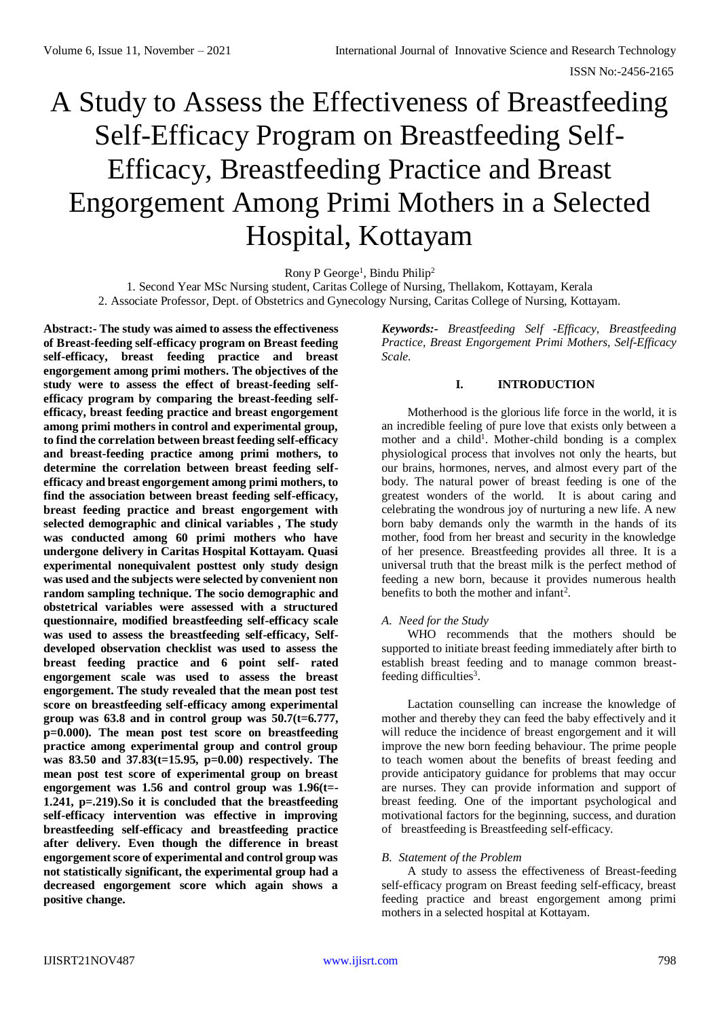# A Study to Assess the Effectiveness of Breastfeeding Self-Efficacy Program on Breastfeeding Self-Efficacy, Breastfeeding Practice and Breast Engorgement Among Primi Mothers in a Selected Hospital, Kottayam

Rony P George<sup>1</sup>, Bindu Philip<sup>2</sup>

1. Second Year MSc Nursing student, Caritas College of Nursing, Thellakom, Kottayam, Kerala

2. Associate Professor, Dept. of Obstetrics and Gynecology Nursing, Caritas College of Nursing, Kottayam.

**Abstract:- The study was aimed to assess the effectiveness of Breast-feeding self-efficacy program on Breast feeding self-efficacy, breast feeding practice and breast engorgement among primi mothers. The objectives of the study were to assess the effect of breast-feeding selfefficacy program by comparing the breast-feeding selfefficacy, breast feeding practice and breast engorgement among primi mothers in control and experimental group, to find the correlation between breast feeding self-efficacy and breast-feeding practice among primi mothers, to determine the correlation between breast feeding selfefficacy and breast engorgement among primi mothers, to find the association between breast feeding self-efficacy, breast feeding practice and breast engorgement with selected demographic and clinical variables , The study was conducted among 60 primi mothers who have undergone delivery in Caritas Hospital Kottayam. Quasi experimental nonequivalent posttest only study design was used and the subjects were selected by convenient non random sampling technique. The socio demographic and obstetrical variables were assessed with a structured questionnaire, modified breastfeeding self-efficacy scale was used to assess the breastfeeding self-efficacy, Selfdeveloped observation checklist was used to assess the breast feeding practice and 6 point self- rated engorgement scale was used to assess the breast engorgement. The study revealed that the mean post test score on breastfeeding self-efficacy among experimental group was 63.8 and in control group was 50.7(t=6.777, p=0.000). The mean post test score on breastfeeding practice among experimental group and control group was 83.50 and 37.83(t=15.95, p=0.00) respectively. The mean post test score of experimental group on breast engorgement was 1.56 and control group was 1.96(t=- 1.241, p=.219).So it is concluded that the breastfeeding self-efficacy intervention was effective in improving breastfeeding self-efficacy and breastfeeding practice after delivery. Even though the difference in breast engorgement score of experimental and control group was not statistically significant, the experimental group had a decreased engorgement score which again shows a positive change.**

*Keywords:- Breastfeeding Self -Efficacy, Breastfeeding Practice, Breast Engorgement Primi Mothers, Self-Efficacy Scale.*

# **I. INTRODUCTION**

Motherhood is the glorious life force in the world, it is an incredible feeling of pure love that exists only between a mother and a child<sup>1</sup>. Mother-child bonding is a complex physiological process that involves not only the hearts, but our brains, hormones, nerves, and almost every part of the body. The natural power of breast feeding is one of the greatest wonders of the world. It is about caring and celebrating the wondrous joy of nurturing a new life. A new born baby demands only the warmth in the hands of its mother, food from her breast and security in the knowledge of her presence. Breastfeeding provides all three. It is a universal truth that the breast milk is the perfect method of feeding a new born, because it provides numerous health benefits to both the mother and infant<sup>2</sup>.

# *A. Need for the Study*

WHO recommends that the mothers should be supported to initiate breast feeding immediately after birth to establish breast feeding and to manage common breastfeeding difficulties<sup>3</sup>.

Lactation counselling can increase the knowledge of mother and thereby they can feed the baby effectively and it will reduce the incidence of breast engorgement and it will improve the new born feeding behaviour. The prime people to teach women about the benefits of breast feeding and provide anticipatory guidance for problems that may occur are nurses. They can provide information and support of breast feeding. One of the important psychological and motivational factors for the beginning, success, and duration of breastfeeding is Breastfeeding self-efficacy.

# *B. Statement of the Problem*

A study to assess the effectiveness of Breast-feeding self-efficacy program on Breast feeding self-efficacy, breast feeding practice and breast engorgement among primi mothers in a selected hospital at Kottayam.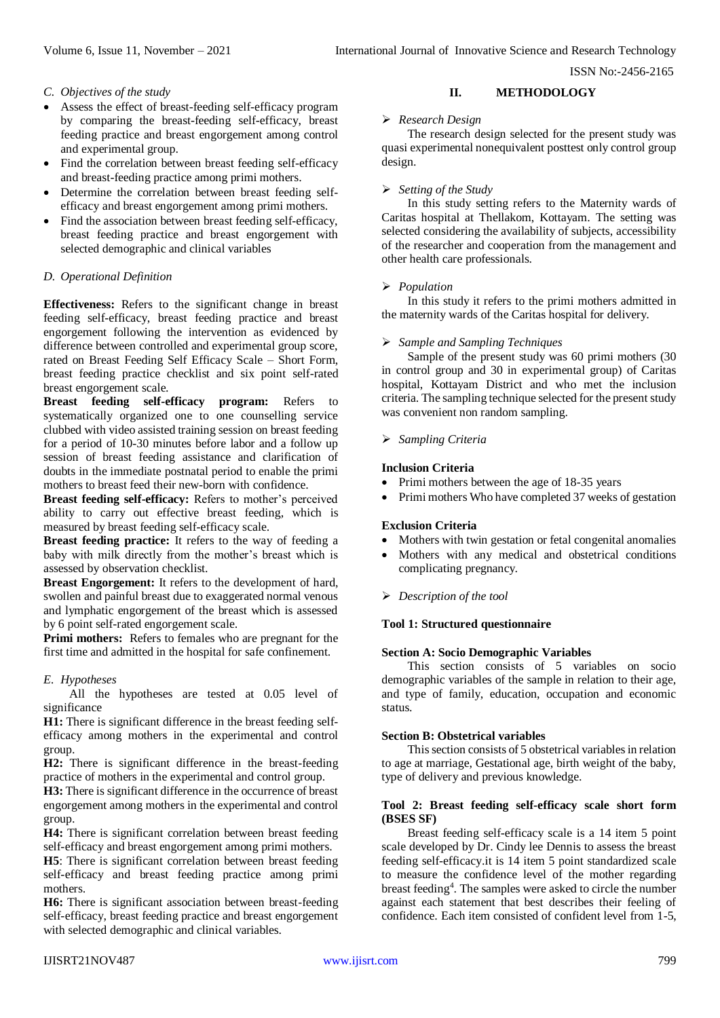ISSN No:-2456-2165

# *C. Objectives of the study*

- Assess the effect of breast-feeding self-efficacy program by comparing the breast-feeding self-efficacy, breast feeding practice and breast engorgement among control and experimental group.
- Find the correlation between breast feeding self-efficacy and breast-feeding practice among primi mothers.
- Determine the correlation between breast feeding selfefficacy and breast engorgement among primi mothers.
- Find the association between breast feeding self-efficacy, breast feeding practice and breast engorgement with selected demographic and clinical variables

# *D. Operational Definition*

**Effectiveness:** Refers to the significant change in breast feeding self-efficacy, breast feeding practice and breast engorgement following the intervention as evidenced by difference between controlled and experimental group score, rated on Breast Feeding Self Efficacy Scale – Short Form, breast feeding practice checklist and six point self-rated breast engorgement scale.

**Breast feeding self-efficacy program:** Refers to systematically organized one to one counselling service clubbed with video assisted training session on breast feeding for a period of 10-30 minutes before labor and a follow up session of breast feeding assistance and clarification of doubts in the immediate postnatal period to enable the primi mothers to breast feed their new-born with confidence.

**Breast feeding self-efficacy:** Refers to mother's perceived ability to carry out effective breast feeding, which is measured by breast feeding self-efficacy scale.

**Breast feeding practice:** It refers to the way of feeding a baby with milk directly from the mother's breast which is assessed by observation checklist.

**Breast Engorgement:** It refers to the development of hard, swollen and painful breast due to exaggerated normal venous and lymphatic engorgement of the breast which is assessed by 6 point self-rated engorgement scale.

**Primi mothers:** Refers to females who are pregnant for the first time and admitted in the hospital for safe confinement.

# *E. Hypotheses*

All the hypotheses are tested at 0.05 level of significance

**H1:** There is significant difference in the breast feeding selfefficacy among mothers in the experimental and control group.

**H2:** There is significant difference in the breast-feeding practice of mothers in the experimental and control group.

**H3:** There is significant difference in the occurrence of breast engorgement among mothers in the experimental and control group.

**H4:** There is significant correlation between breast feeding self-efficacy and breast engorgement among primi mothers.

**H5**: There is significant correlation between breast feeding self-efficacy and breast feeding practice among primi mothers.

**H6:** There is significant association between breast-feeding self-efficacy, breast feeding practice and breast engorgement with selected demographic and clinical variables.

# **II. METHODOLOGY**

# *Research Design*

The research design selected for the present study was quasi experimental nonequivalent posttest only control group design.

# *Setting of the Study*

In this study setting refers to the Maternity wards of Caritas hospital at Thellakom, Kottayam. The setting was selected considering the availability of subjects, accessibility of the researcher and cooperation from the management and other health care professionals.

# *Population*

In this study it refers to the primi mothers admitted in the maternity wards of the Caritas hospital for delivery.

# *Sample and Sampling Techniques*

Sample of the present study was 60 primi mothers (30 in control group and 30 in experimental group) of Caritas hospital, Kottayam District and who met the inclusion criteria. The sampling technique selected for the present study was convenient non random sampling.

# *Sampling Criteria*

# **Inclusion Criteria**

- Primi mothers between the age of 18-35 years
- Primi mothers Who have completed 37 weeks of gestation

# **Exclusion Criteria**

- Mothers with twin gestation or fetal congenital anomalies
- Mothers with any medical and obstetrical conditions complicating pregnancy.

# *Description of the tool*

# **Tool 1: Structured questionnaire**

# **Section A: Socio Demographic Variables**

This section consists of 5 variables on socio demographic variables of the sample in relation to their age, and type of family, education, occupation and economic status.

# **Section B: Obstetrical variables**

This section consists of 5 obstetrical variables in relation to age at marriage, Gestational age, birth weight of the baby, type of delivery and previous knowledge.

#### **Tool 2: Breast feeding self-efficacy scale short form (BSES SF)**

Breast feeding self-efficacy scale is a 14 item 5 point scale developed by Dr. Cindy lee Dennis to assess the breast feeding self-efficacy.it is 14 item 5 point standardized scale to measure the confidence level of the mother regarding breast feeding<sup>4</sup> . The samples were asked to circle the number against each statement that best describes their feeling of confidence. Each item consisted of confident level from 1-5,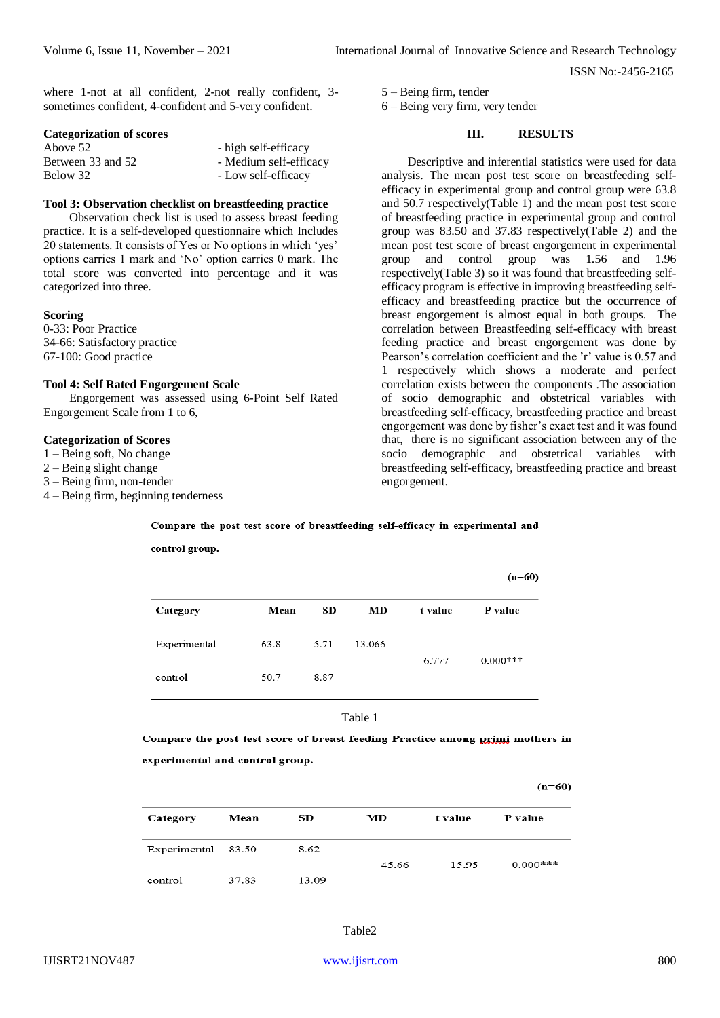ISSN No:-2456-2165

where 1-not at all confident, 2-not really confident, 3 sometimes confident, 4-confident and 5-very confident.

#### **Categorization of scores**

| Above 52          | - high self-efficacy   |
|-------------------|------------------------|
| Between 33 and 52 | - Medium self-efficacy |
| Below 32          | - Low self-efficacy    |

# **Tool 3: Observation checklist on breastfeeding practice**

Observation check list is used to assess breast feeding practice. It is a self-developed questionnaire which Includes 20 statements. It consists of Yes or No options in which 'yes' options carries 1 mark and 'No' option carries 0 mark. The total score was converted into percentage and it was categorized into three.

#### **Scoring**

0-33: Poor Practice 34-66: Satisfactory practice 67-100: Good practice

#### **Tool 4: Self Rated Engorgement Scale**

Engorgement was assessed using 6-Point Self Rated Engorgement Scale from 1 to 6,

control group.

#### **Categorization of Scores**

1 – Being soft, No change

- 2 Being slight change
- 3 Being firm, non-tender
- 4 Being firm, beginning tenderness

5 – Being firm, tender

6 – Being very firm, very tender

#### **III. RESULTS**

Descriptive and inferential statistics were used for data analysis. The mean post test score on breastfeeding selfefficacy in experimental group and control group were 63.8 and 50.7 respectively(Table 1) and the mean post test score of breastfeeding practice in experimental group and control group was 83.50 and 37.83 respectively(Table 2) and the mean post test score of breast engorgement in experimental group and control group was 1.56 and 1.96 respectively(Table 3) so it was found that breastfeeding selfefficacy program is effective in improving breastfeeding selfefficacy and breastfeeding practice but the occurrence of breast engorgement is almost equal in both groups. The correlation between Breastfeeding self-efficacy with breast feeding practice and breast engorgement was done by Pearson's correlation coefficient and the 'r' value is 0.57 and 1 respectively which shows a moderate and perfect correlation exists between the components .The association of socio demographic and obstetrical variables with breastfeeding self-efficacy, breastfeeding practice and breast engorgement was done by fisher's exact test and it was found that, there is no significant association between any of the socio demographic and obstetrical variables with breastfeeding self-efficacy, breastfeeding practice and breast engorgement.

|              |      |      |        |         | $(n=60)$   |
|--------------|------|------|--------|---------|------------|
| Category     | Mean | SD.  | MD     | t value | P value    |
| Experimental | 63.8 | 5.71 | 13.066 | 6.777   | $0.000***$ |
| control      | 50.7 | 8.87 |        |         |            |

Compare the post test score of breastfeeding self-efficacy in experimental and

Table 1

Compare the post test score of breast feeding Practice among primi mothers in experimental and control group.

 $(n=60)$ 

| Category           | Mean  | SD.   | MD    | t value | P value     |
|--------------------|-------|-------|-------|---------|-------------|
| Experimental 83.50 |       | 8.62  | 45.66 | 15.95   | $0.000$ *** |
| control            | 37.83 | 13.09 |       |         |             |